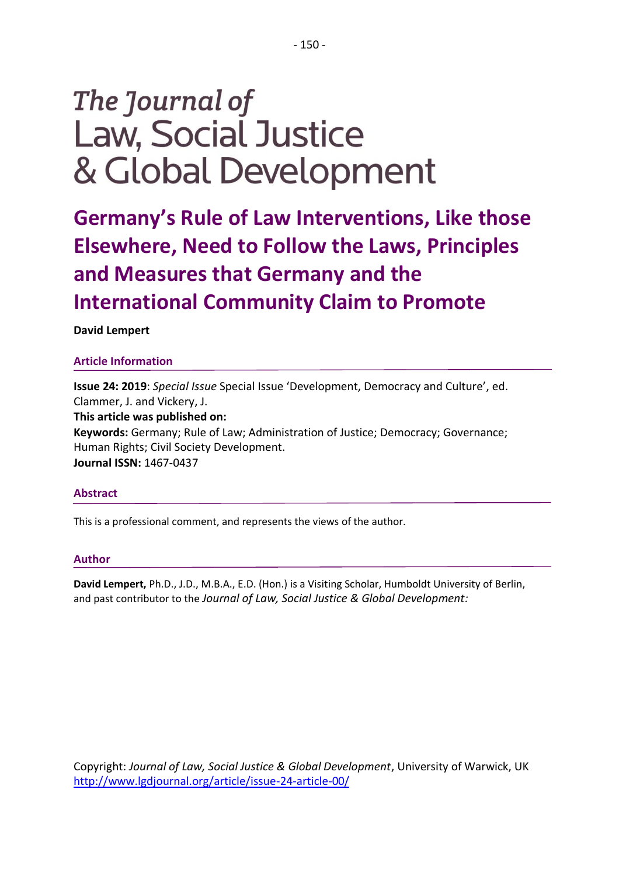# The Journal of **Law, Social Justice** & Global Development

**Germany's Rule of Law Interventions, Like those Elsewhere, Need to Follow the Laws, Principles and Measures that Germany and the International Community Claim to Promote**

## **David Lempert**

## **Article Information**

**Issue 24: 2019**: *Special Issue* Special Issue 'Development, Democracy and Culture', ed. Clammer, J. and Vickery, J. **This article was published on: Keywords:** Germany; Rule of Law; Administration of Justice; Democracy; Governance; Human Rights; Civil Society Development. **Journal ISSN:** 1467-0437

## **Abstract**

This is a professional comment, and represents the views of the author.

### **Author**

**David Lempert,** Ph.D., J.D., M.B.A., E.D. (Hon.) is a Visiting Scholar, Humboldt University of Berlin, and past contributor to the *Journal of Law, Social Justice & Global Development:* 

Copyright: *Journal of Law, Social Justice & Global Development*, University of Warwick, UK <http://www.lgdjournal.org/article/issue-24-article-00/>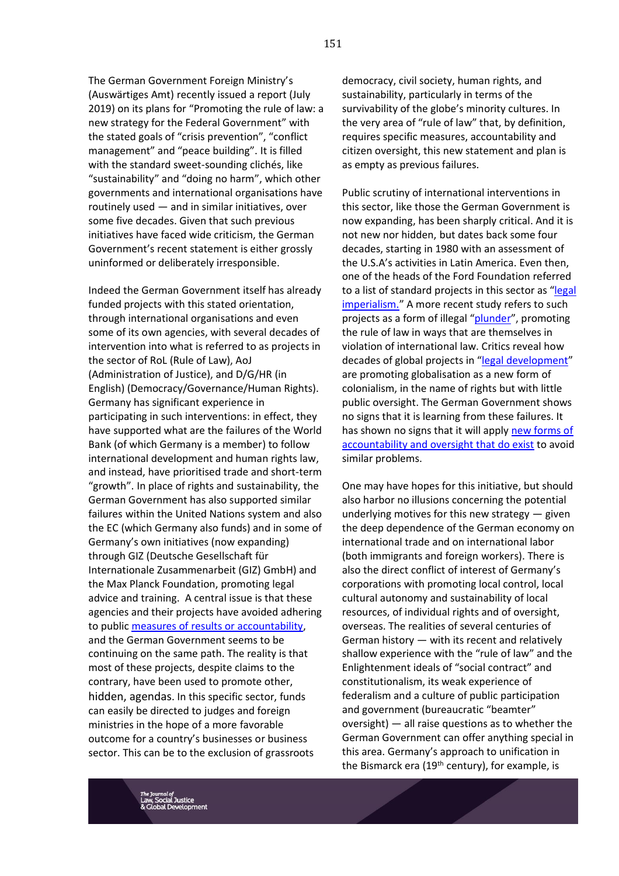The German Government Foreign Ministry's (Auswärtiges Amt) recently issued a report (July 2019) on its plans for "Promoting the rule of law: a new strategy for the Federal Government" with the stated goals of "crisis prevention", "conflict management" and "peace building". It is filled with the standard sweet-sounding clichés, like "sustainability" and "doing no harm", which other governments and international organisations have routinely used — and in similar initiatives, over some five decades. Given that such previous initiatives have faced wide criticism, the German Government's recent statement is either grossly uninformed or deliberately irresponsible.

Indeed the German Government itself has already funded projects with this stated orientation, through international organisations and even some of its own agencies, with several decades of intervention into what is referred to as projects in the sector of RoL (Rule of Law), AoJ (Administration of Justice), and D/G/HR (in English) (Democracy/Governance/Human Rights). Germany has significant experience in participating in such interventions: in effect, they have supported what are the failures of the World Bank (of which Germany is a member) to follow international development and human rights law, and instead, have prioritised trade and short-term "growth". In place of rights and sustainability, the German Government has also supported similar failures within the United Nations system and also the EC (which Germany also funds) and in some of Germany's own initiatives (now expanding) through GIZ (Deutsche Gesellschaft für Internationale Zusammenarbeit (GIZ) GmbH) and the Max Planck Foundation, promoting legal advice and training. A central issue is that these agencies and their projects have avoided adhering to public [measures of results or accountability,](http://journals.sfu.ca/jmde/index.php/jmde_1/article/view/506/459) and the German Government seems to be continuing on the same path. The reality is that most of these projects, despite claims to the contrary, have been used to promote other, hidden, agendas. In this specific sector, funds can easily be directed to judges and foreign ministries in the hope of a more favorable outcome for a country's businesses or business sector. This can be to the exclusion of grassroots

democracy, civil society, human rights, and sustainability, particularly in terms of the survivability of the globe's minority cultures. In the very area of "rule of law" that, by definition, requires specific measures, accountability and citizen oversight, this new statement and plan is as empty as previous failures.

Public scrutiny of international interventions in this sector, like those the German Government is now expanding, has been sharply critical. And it is not new nor hidden, but dates back some four decades, starting in 1980 with an assessment of the U.S.A's activities in Latin America. Even then, one of the heads of the Ford Foundation referred to a list of standard projects in this sector as "[legal](https://books.google.de/books?id=U65PAAAAMAAJ&q=James+Gardner,+(1980),+Legal+Imperialism:++American+Lawyers+and+Foreign+Aid+in+Latin+America.++Madison,+Wisconsin:+University+of+Wisconsin+Press&dq=James+Gardner,+(1980),+Legal+Imperialism:++American+Lawyers+and+Foreign+Aid+in+Latin+America.++Madison,+Wisconsin:+University+of+Wisconsin+Press&hl=en&sa=X&ved=0ahUKEwir9KzasLDlAhUKohQKHcG-DmYQ6AEIYzAI)  [imperialism.](https://books.google.de/books?id=U65PAAAAMAAJ&q=James+Gardner,+(1980),+Legal+Imperialism:++American+Lawyers+and+Foreign+Aid+in+Latin+America.++Madison,+Wisconsin:+University+of+Wisconsin+Press&dq=James+Gardner,+(1980),+Legal+Imperialism:++American+Lawyers+and+Foreign+Aid+in+Latin+America.++Madison,+Wisconsin:+University+of+Wisconsin+Press&hl=en&sa=X&ved=0ahUKEwir9KzasLDlAhUKohQKHcG-DmYQ6AEIYzAI)" A more recent study refers to such projects as a form of illegal "[plunder](https://books.google.de/books?id=YQ1rCXCsHRUC&pg=PR4&dq=Laura+Nader+and+Ugo+Mattei+(2008),+Plunder:++When+the+Rule+of+Law+is+Illegal,+Wiley+Blackwell,+Oxford&hl=en&sa=X&ved=0ahUKEwie86Xls7DlAhWFxcQBHVOnCYEQ6AEILzAB#v=onepage&q=Laura%20Nader%20and%20Ugo%20Mattei%20(2008)%2C%20Plunder%3A%20%20When%20the%20Rule%20of%20Law%20is%20Illegal%2C%20Wiley%20Blackwell%2C%20Oxford&f=false)", promoting the rule of law in ways that are themselves in violation of international law. Critics reveal how decades of global projects in "[legal development](http://www.sociostudies.org/journal/files/jogs/2016_1/Lempert%20Full%20version.pdf)" are promoting globalisation as a new form of colonialism, in the name of rights but with little public oversight. The German Government shows no signs that it is learning from these failures. It has shown no signs that it will apply [new forms of](http://www.degruyter.com/view/j/gj.2011.11.issue-2/1934-2640.1385/1934-2640.1385.xml?format=INT)  [accountability and oversight that do exist](http://www.degruyter.com/view/j/gj.2011.11.issue-2/1934-2640.1385/1934-2640.1385.xml?format=INT) to avoid similar problems.

One may have hopes for this initiative, but should also harbor no illusions concerning the potential underlying motives for this new strategy — given the deep dependence of the German economy on international trade and on international labor (both immigrants and foreign workers). There is also the direct conflict of interest of Germany's corporations with promoting local control, local cultural autonomy and sustainability of local resources, of individual rights and of oversight, overseas. The realities of several centuries of German history — with its recent and relatively shallow experience with the "rule of law" and the Enlightenment ideals of "social contract" and constitutionalism, its weak experience of federalism and a culture of public participation and government (bureaucratic "beamter" oversight) — all raise questions as to whether the German Government can offer anything special in this area. Germany's approach to unification in the Bismarck era ( $19<sup>th</sup>$  century), for example, is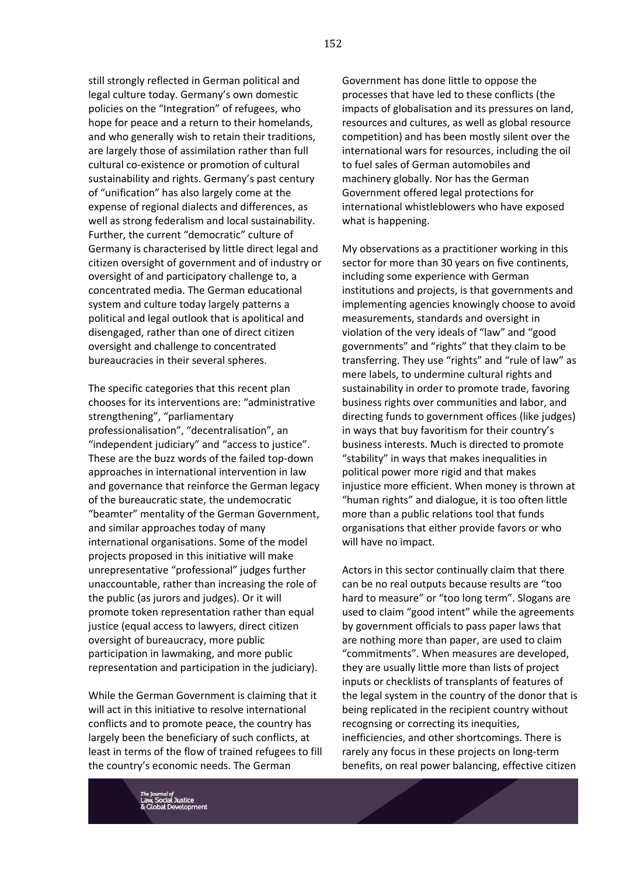still strongly reflected in German political and legal culture today. Germany's own domestic policies on the "Integration" of refugees, who hope for peace and a return to their homelands, and who generally wish to retain their traditions, are largely those of assimilation rather than full cultural co-existence or promotion of cultural sustainability and rights. Germany's past century of "unification" has also largely come at the expense of regional dialects and differences, as well as strong federalism and local sustainability. Further, the current "democratic" culture of Germany is characterised by little direct legal and citizen oversight of government and of industry or oversight of and participatory challenge to, a concentrated media. The German educational system and culture today largely patterns a political and legal outlook that is apolitical and disengaged, rather than one of direct citizen oversight and challenge to concentrated bureaucracies in their several spheres.

The specific categories that this recent plan chooses for its interventions are: "administrative strengthening", "parliamentary professionalisation", "decentralisation", an "independent judiciary" and "access to justice". These are the buzz words of the failed top-down approaches in international intervention in law and governance that reinforce the German legacy of the bureaucratic state, the undemocratic "beamter" mentality of the German Government, and similar approaches today of many international organisations. Some of the model projects proposed in this initiative will make unrepresentative "professional" judges further unaccountable, rather than increasing the role of the public (as jurors and judges). Or it will promote token representation rather than equal justice (equal access to lawyers, direct citizen oversight of bureaucracy, more public participation in lawmaking, and more public representation and participation in the judiciary).

While the German Government is claiming that it will act in this initiative to resolve international conflicts and to promote peace, the country has largely been the beneficiary of such conflicts, at least in terms of the flow of trained refugees to fill the country's economic needs. The German

Government has done little to oppose the processes that have led to these conflicts (the impacts of globalisation and its pressures on land, resources and cultures, as well as global resource competition) and has been mostly silent over the international wars for resources, including the oil to fuel sales of German automobiles and machinery globally. Nor has the German Government offered legal protections for international whistleblowers who have exposed what is happening.

My observations as a practitioner working in this sector for more than 30 years on five continents, including some experience with German institutions and projects, is that governments and implementing agencies knowingly choose to avoid measurements, standards and oversight in violation of the very ideals of "law" and "good governments" and "rights" that they claim to be transferring. They use "rights" and "rule of law" as mere labels, to undermine cultural rights and sustainability in order to promote trade, favoring business rights over communities and labor, and directing funds to government offices (like judges) in ways that buy favoritism for their country's business interests. Much is directed to promote "stability" in ways that makes inequalities in political power more rigid and that makes injustice more efficient. When money is thrown at "human rights" and dialogue, it is too often little more than a public relations tool that funds organisations that either provide favors or who will have no impact.

Actors in this sector continually claim that there can be no real outputs because results are "too hard to measure" or "too long term". Slogans are used to claim "good intent" while the agreements by government officials to pass paper laws that are nothing more than paper, are used to claim "commitments". When measures are developed, they are usually little more than lists of project inputs or checklists of transplants of features of the legal system in the country of the donor that is being replicated in the recipient country without recognsing or correcting its inequities, inefficiencies, and other shortcomings. There is rarely any focus in these projects on long-term benefits, on real power balancing, effective citizen